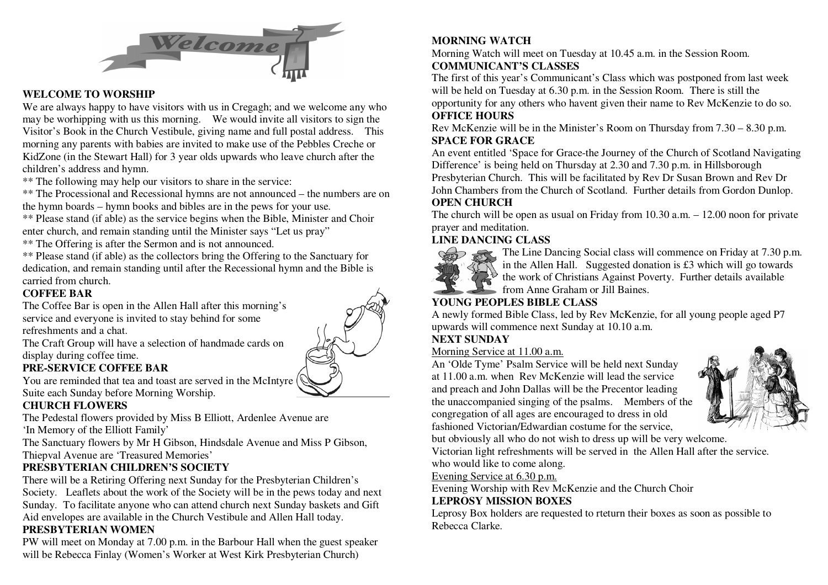

#### **WELCOME TO WORSHIP**

 We are always happy to have visitors with us in Cregagh; and we welcome any who may be worhipping with us this morning. We would invite all visitors to sign the Visitor's Book in the Church Vestibule, giving name and full postal address. This morning any parents with babies are invited to make use of the Pebbles Creche or KidZone (in the Stewart Hall) for 3 year olds upwards who leave church after the children's address and hymn.

\*\* The following may help our visitors to share in the service:

 \*\* The Processional and Recessional hymns are not announced – the numbers are on the hymn boards – hymn books and bibles are in the pews for your use.

 \*\* Please stand (if able) as the service begins when the Bible, Minister and Choir enter church, and remain standing until the Minister says "Let us pray"

\*\* The Offering is after the Sermon and is not announced.

 \*\* Please stand (if able) as the collectors bring the Offering to the Sanctuary for dedication, and remain standing until after the Recessional hymn and the Bible is carried from church.

#### **COFFEE BAR**

 The Coffee Bar is open in the Allen Hall after this morning's service and everyone is invited to stay behind for some refreshments and a chat.

 The Craft Group will have a selection of handmade cards on display during coffee time.

## **PRE-SERVICE COFFEE BAR**

 You are reminded that tea and toast are served in the McIntyre Suite each Sunday before Morning Worship.

## **CHURCH FLOWERS**

The Pedestal flowers provided by Miss B Elliott, Ardenlee Avenue are

'In Memory of the Elliott Family'

 The Sanctuary flowers by Mr H Gibson, Hindsdale Avenue and Miss P Gibson, Thiepval Avenue are 'Treasured Memories'

# **PRESBYTERIAN CHILDREN'S SOCIETY**

 There will be a Retiring Offering next Sunday for the Presbyterian Children's Society. Leaflets about the work of the Society will be in the pews today and next Sunday. To facilitate anyone who can attend church next Sunday baskets and Gift Aid envelopes are available in the Church Vestibule and Allen Hall today.

#### **PRESBYTERIAN WOMEN**

 PW will meet on Monday at 7.00 p.m. in the Barbour Hall when the guest speaker will be Rebecca Finlay (Women's Worker at West Kirk Presbyterian Church)

### **MORNING WATCH**

 Morning Watch will meet on Tuesday at 10.45 a.m. in the Session Room. **COMMUNICANT'S CLASSES** 

 The first of this year's Communicant's Class which was postponed from last week will be held on Tuesday at 6.30 p.m. in the Session Room. There is still the opportunity for any others who havent given their name to Rev McKenzie to do so. **OFFICE HOURS** 

 Rev McKenzie will be in the Minister's Room on Thursday from 7.30 – 8.30 p.m. **SPACE FOR GRACE** 

 An event entitled 'Space for Grace-the Journey of the Church of Scotland Navigating Difference' is being held on Thursday at 2.30 and 7.30 p.m. in Hillsborough Presbyterian Church. This will be facilitated by Rev Dr Susan Brown and Rev Dr John Chambers from the Church of Scotland. Further details from Gordon Dunlop. **OPEN CHURCH** 

#### The church will be open as usual on Friday from 10.30 a.m. – 12.00 noon for private prayer and meditation.

# **LINE DANCING CLASS**



 The Line Dancing Social class will commence on Friday at 7.30 p.m.in the Allen Hall. Suggested donation is £3 which will go towards the work of Christians Against Poverty. Further details available from Anne Graham or Jill Baines.

# **YOUNG PEOPLES BIBLE CLASS**

 A newly formed Bible Class, led by Rev McKenzie, for all young people aged P7 upwards will commence next Sunday at 10.10 a.m.

## **NEXT SUNDAY**

#### Morning Service at 11.00 a.m.

 An 'Olde Tyme' Psalm Service will be held next Sunday at 11.00 a.m. when Rev McKenzie will lead the service and preach and John Dallas will be the Precentor leading the unaccompanied singing of the psalms. Members of the congregation of all ages are encouraged to dress in oldfashioned Victorian/Edwardian costume for the service,



but obviously all who do not wish to dress up will be very welcome.

Victorian light refreshments will be served in the Allen Hall after the service.

who would like to come along.

Evening Service at 6.30 p.m.

Evening Worship with Rev McKenzie and the Church Choir

# **LEPROSY MISSION BOXES**

 Leprosy Box holders are requested to rteturn their boxes as soon as possible to Rebecca Clarke.